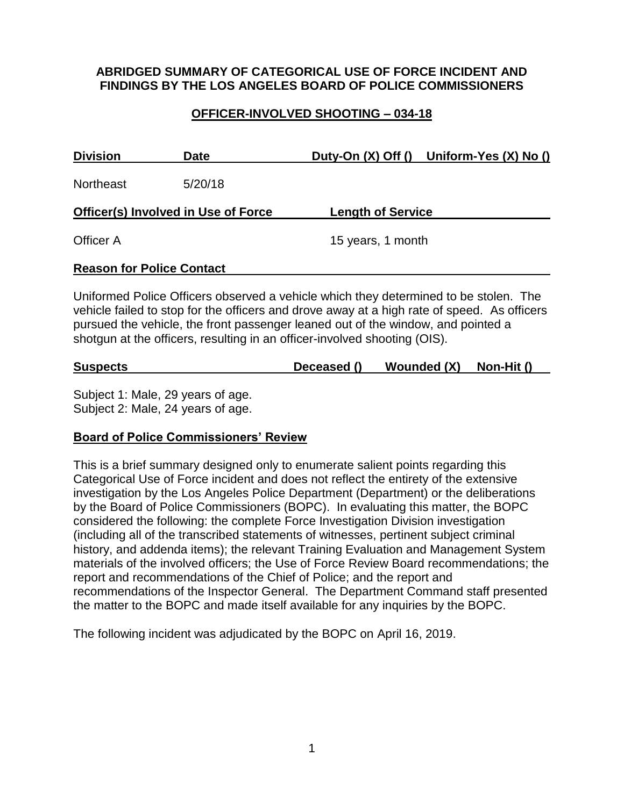## **ABRIDGED SUMMARY OF CATEGORICAL USE OF FORCE INCIDENT AND FINDINGS BY THE LOS ANGELES BOARD OF POLICE COMMISSIONERS**

# **OFFICER-INVOLVED SHOOTING – 034-18**

| <b>Division</b>                            | <b>Date</b> |                          | Duty-On (X) Off () Uniform-Yes (X) No () |
|--------------------------------------------|-------------|--------------------------|------------------------------------------|
| <b>Northeast</b>                           | 5/20/18     |                          |                                          |
| <b>Officer(s) Involved in Use of Force</b> |             | <b>Length of Service</b> |                                          |
| Officer A                                  |             | 15 years, 1 month        |                                          |
| <b>Reason for Police Contact</b>           |             |                          |                                          |

Uniformed Police Officers observed a vehicle which they determined to be stolen. The vehicle failed to stop for the officers and drove away at a high rate of speed. As officers pursued the vehicle, the front passenger leaned out of the window, and pointed a shotgun at the officers, resulting in an officer-involved shooting (OIS).

| Wounded (X)<br>Non-Hit ()<br><b>Suspects</b><br>Deceased () |
|-------------------------------------------------------------|
|-------------------------------------------------------------|

Subject 1: Male, 29 years of age. Subject 2: Male, 24 years of age.

# **Board of Police Commissioners' Review**

This is a brief summary designed only to enumerate salient points regarding this Categorical Use of Force incident and does not reflect the entirety of the extensive investigation by the Los Angeles Police Department (Department) or the deliberations by the Board of Police Commissioners (BOPC). In evaluating this matter, the BOPC considered the following: the complete Force Investigation Division investigation (including all of the transcribed statements of witnesses, pertinent subject criminal history, and addenda items); the relevant Training Evaluation and Management System materials of the involved officers; the Use of Force Review Board recommendations; the report and recommendations of the Chief of Police; and the report and recommendations of the Inspector General. The Department Command staff presented the matter to the BOPC and made itself available for any inquiries by the BOPC.

The following incident was adjudicated by the BOPC on April 16, 2019.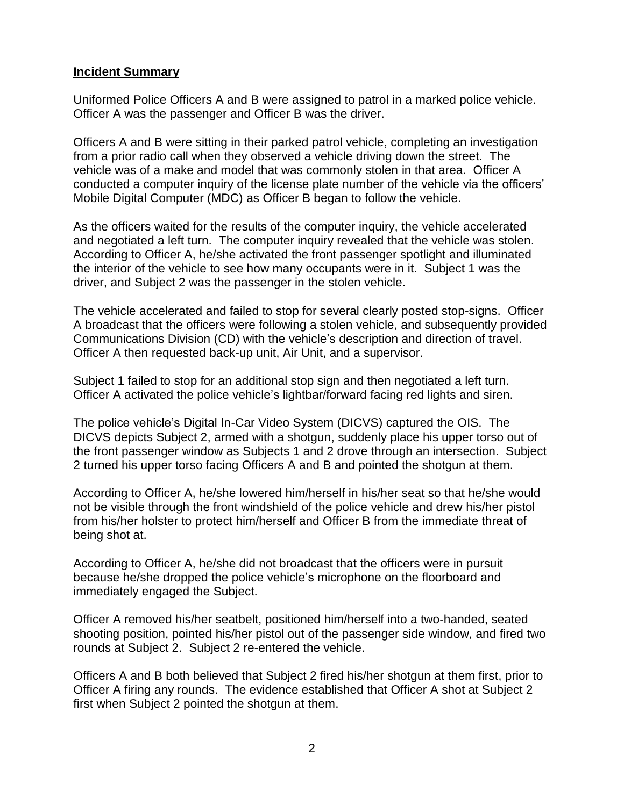#### **Incident Summary**

Uniformed Police Officers A and B were assigned to patrol in a marked police vehicle. Officer A was the passenger and Officer B was the driver.

Officers A and B were sitting in their parked patrol vehicle, completing an investigation from a prior radio call when they observed a vehicle driving down the street. The vehicle was of a make and model that was commonly stolen in that area. Officer A conducted a computer inquiry of the license plate number of the vehicle via the officers' Mobile Digital Computer (MDC) as Officer B began to follow the vehicle.

As the officers waited for the results of the computer inquiry, the vehicle accelerated and negotiated a left turn. The computer inquiry revealed that the vehicle was stolen. According to Officer A, he/she activated the front passenger spotlight and illuminated the interior of the vehicle to see how many occupants were in it. Subject 1 was the driver, and Subject 2 was the passenger in the stolen vehicle.

The vehicle accelerated and failed to stop for several clearly posted stop-signs. Officer A broadcast that the officers were following a stolen vehicle, and subsequently provided Communications Division (CD) with the vehicle's description and direction of travel. Officer A then requested back-up unit, Air Unit, and a supervisor.

Subject 1 failed to stop for an additional stop sign and then negotiated a left turn. Officer A activated the police vehicle's lightbar/forward facing red lights and siren.

The police vehicle's Digital In-Car Video System (DICVS) captured the OIS. The DICVS depicts Subject 2, armed with a shotgun, suddenly place his upper torso out of the front passenger window as Subjects 1 and 2 drove through an intersection. Subject 2 turned his upper torso facing Officers A and B and pointed the shotgun at them.

According to Officer A, he/she lowered him/herself in his/her seat so that he/she would not be visible through the front windshield of the police vehicle and drew his/her pistol from his/her holster to protect him/herself and Officer B from the immediate threat of being shot at.

According to Officer A, he/she did not broadcast that the officers were in pursuit because he/she dropped the police vehicle's microphone on the floorboard and immediately engaged the Subject.

Officer A removed his/her seatbelt, positioned him/herself into a two-handed, seated shooting position, pointed his/her pistol out of the passenger side window, and fired two rounds at Subject 2. Subject 2 re-entered the vehicle.

Officers A and B both believed that Subject 2 fired his/her shotgun at them first, prior to Officer A firing any rounds. The evidence established that Officer A shot at Subject 2 first when Subject 2 pointed the shotgun at them.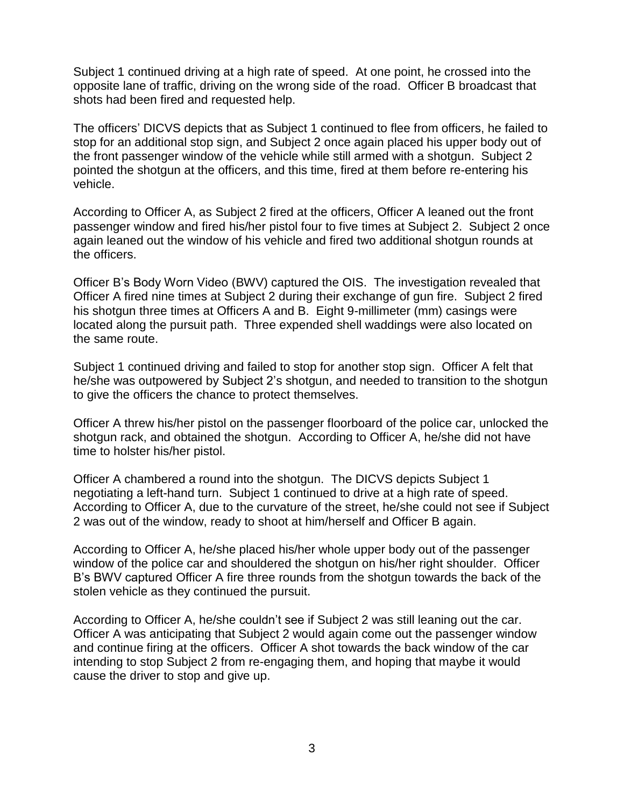Subject 1 continued driving at a high rate of speed. At one point, he crossed into the opposite lane of traffic, driving on the wrong side of the road. Officer B broadcast that shots had been fired and requested help.

The officers' DICVS depicts that as Subject 1 continued to flee from officers, he failed to stop for an additional stop sign, and Subject 2 once again placed his upper body out of the front passenger window of the vehicle while still armed with a shotgun. Subject 2 pointed the shotgun at the officers, and this time, fired at them before re-entering his vehicle.

According to Officer A, as Subject 2 fired at the officers, Officer A leaned out the front passenger window and fired his/her pistol four to five times at Subject 2. Subject 2 once again leaned out the window of his vehicle and fired two additional shotgun rounds at the officers.

Officer B's Body Worn Video (BWV) captured the OIS. The investigation revealed that Officer A fired nine times at Subject 2 during their exchange of gun fire. Subject 2 fired his shotgun three times at Officers A and B. Eight 9-millimeter (mm) casings were located along the pursuit path. Three expended shell waddings were also located on the same route.

Subject 1 continued driving and failed to stop for another stop sign. Officer A felt that he/she was outpowered by Subject 2's shotgun, and needed to transition to the shotgun to give the officers the chance to protect themselves.

Officer A threw his/her pistol on the passenger floorboard of the police car, unlocked the shotgun rack, and obtained the shotgun. According to Officer A, he/she did not have time to holster his/her pistol.

Officer A chambered a round into the shotgun. The DICVS depicts Subject 1 negotiating a left-hand turn. Subject 1 continued to drive at a high rate of speed. According to Officer A, due to the curvature of the street, he/she could not see if Subject 2 was out of the window, ready to shoot at him/herself and Officer B again.

According to Officer A, he/she placed his/her whole upper body out of the passenger window of the police car and shouldered the shotgun on his/her right shoulder. Officer B's BWV captured Officer A fire three rounds from the shotgun towards the back of the stolen vehicle as they continued the pursuit.

According to Officer A, he/she couldn't see if Subject 2 was still leaning out the car. Officer A was anticipating that Subject 2 would again come out the passenger window and continue firing at the officers. Officer A shot towards the back window of the car intending to stop Subject 2 from re-engaging them, and hoping that maybe it would cause the driver to stop and give up.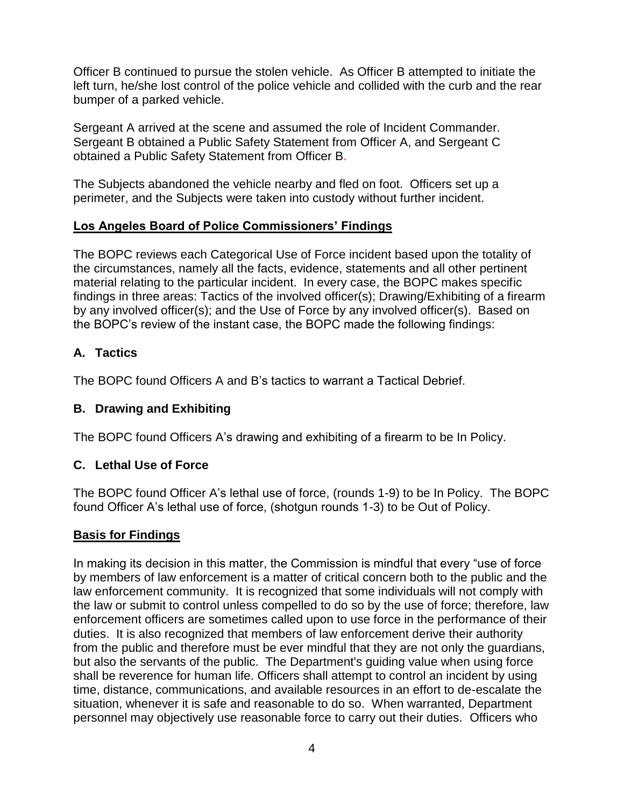Officer B continued to pursue the stolen vehicle. As Officer B attempted to initiate the left turn, he/she lost control of the police vehicle and collided with the curb and the rear bumper of a parked vehicle.

Sergeant A arrived at the scene and assumed the role of Incident Commander. Sergeant B obtained a Public Safety Statement from Officer A, and Sergeant C obtained a Public Safety Statement from Officer B.

The Subjects abandoned the vehicle nearby and fled on foot. Officers set up a perimeter, and the Subjects were taken into custody without further incident.

## **Los Angeles Board of Police Commissioners' Findings**

The BOPC reviews each Categorical Use of Force incident based upon the totality of the circumstances, namely all the facts, evidence, statements and all other pertinent material relating to the particular incident. In every case, the BOPC makes specific findings in three areas: Tactics of the involved officer(s); Drawing/Exhibiting of a firearm by any involved officer(s); and the Use of Force by any involved officer(s). Based on the BOPC's review of the instant case, the BOPC made the following findings:

# **A. Tactics**

The BOPC found Officers A and B's tactics to warrant a Tactical Debrief.

# **B. Drawing and Exhibiting**

The BOPC found Officers A's drawing and exhibiting of a firearm to be In Policy.

# **C. Lethal Use of Force**

The BOPC found Officer A's lethal use of force, (rounds 1-9) to be In Policy. The BOPC found Officer A's lethal use of force, (shotgun rounds 1-3) to be Out of Policy.

#### **Basis for Findings**

In making its decision in this matter, the Commission is mindful that every "use of force by members of law enforcement is a matter of critical concern both to the public and the law enforcement community. It is recognized that some individuals will not comply with the law or submit to control unless compelled to do so by the use of force; therefore, law enforcement officers are sometimes called upon to use force in the performance of their duties. It is also recognized that members of law enforcement derive their authority from the public and therefore must be ever mindful that they are not only the guardians, but also the servants of the public. The Department's guiding value when using force shall be reverence for human life. Officers shall attempt to control an incident by using time, distance, communications, and available resources in an effort to de-escalate the situation, whenever it is safe and reasonable to do so. When warranted, Department personnel may objectively use reasonable force to carry out their duties. Officers who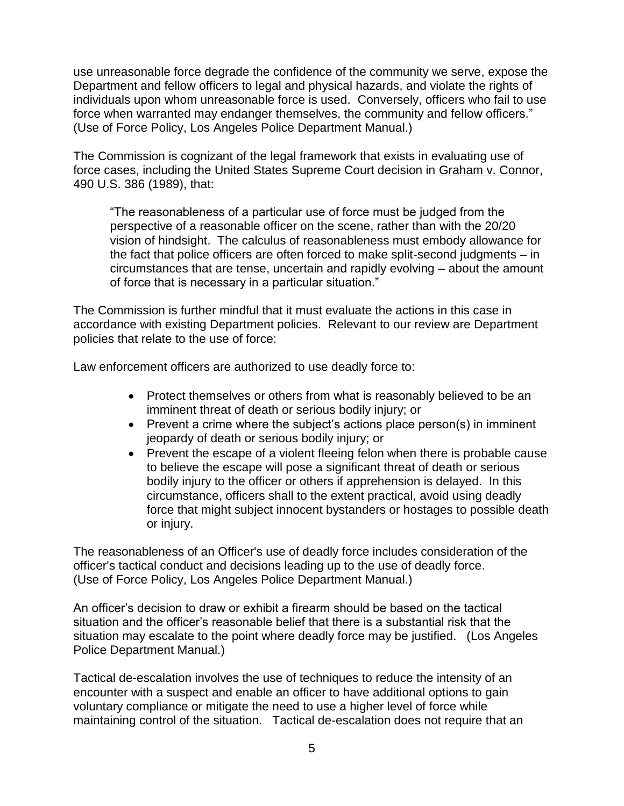use unreasonable force degrade the confidence of the community we serve, expose the Department and fellow officers to legal and physical hazards, and violate the rights of individuals upon whom unreasonable force is used. Conversely, officers who fail to use force when warranted may endanger themselves, the community and fellow officers." (Use of Force Policy, Los Angeles Police Department Manual.)

The Commission is cognizant of the legal framework that exists in evaluating use of force cases, including the United States Supreme Court decision in Graham v. Connor, 490 U.S. 386 (1989), that:

"The reasonableness of a particular use of force must be judged from the perspective of a reasonable officer on the scene, rather than with the 20/20 vision of hindsight. The calculus of reasonableness must embody allowance for the fact that police officers are often forced to make split-second judgments – in circumstances that are tense, uncertain and rapidly evolving – about the amount of force that is necessary in a particular situation."

The Commission is further mindful that it must evaluate the actions in this case in accordance with existing Department policies. Relevant to our review are Department policies that relate to the use of force:

Law enforcement officers are authorized to use deadly force to:

- Protect themselves or others from what is reasonably believed to be an imminent threat of death or serious bodily injury; or
- Prevent a crime where the subject's actions place person(s) in imminent jeopardy of death or serious bodily injury; or
- Prevent the escape of a violent fleeing felon when there is probable cause to believe the escape will pose a significant threat of death or serious bodily injury to the officer or others if apprehension is delayed. In this circumstance, officers shall to the extent practical, avoid using deadly force that might subject innocent bystanders or hostages to possible death or injury.

The reasonableness of an Officer's use of deadly force includes consideration of the officer's tactical conduct and decisions leading up to the use of deadly force. (Use of Force Policy, Los Angeles Police Department Manual.)

An officer's decision to draw or exhibit a firearm should be based on the tactical situation and the officer's reasonable belief that there is a substantial risk that the situation may escalate to the point where deadly force may be justified. (Los Angeles Police Department Manual.)

Tactical de-escalation involves the use of techniques to reduce the intensity of an encounter with a suspect and enable an officer to have additional options to gain voluntary compliance or mitigate the need to use a higher level of force while maintaining control of the situation. Tactical de-escalation does not require that an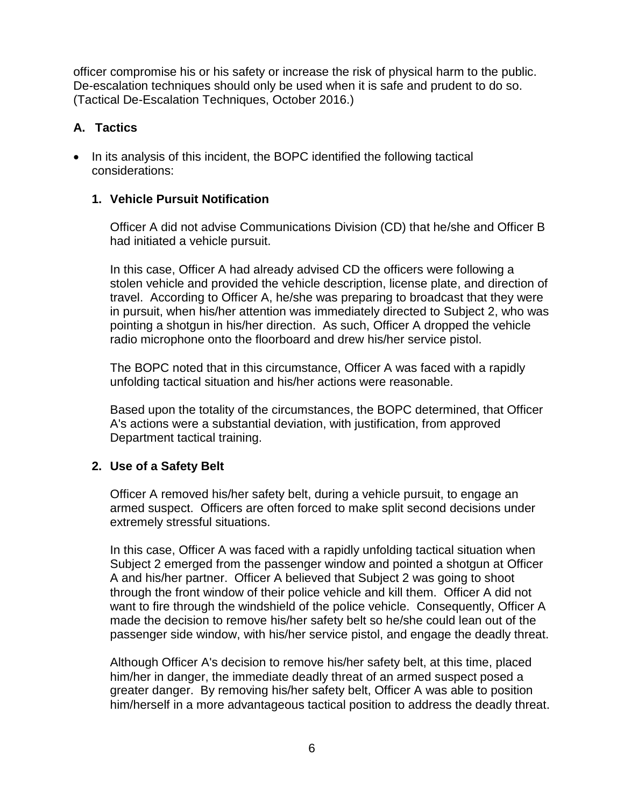officer compromise his or his safety or increase the risk of physical harm to the public. De-escalation techniques should only be used when it is safe and prudent to do so. (Tactical De-Escalation Techniques, October 2016.)

# **A. Tactics**

• In its analysis of this incident, the BOPC identified the following tactical considerations:

# **1. Vehicle Pursuit Notification**

Officer A did not advise Communications Division (CD) that he/she and Officer B had initiated a vehicle pursuit.

In this case, Officer A had already advised CD the officers were following a stolen vehicle and provided the vehicle description, license plate, and direction of travel. According to Officer A, he/she was preparing to broadcast that they were in pursuit, when his/her attention was immediately directed to Subject 2, who was pointing a shotgun in his/her direction. As such, Officer A dropped the vehicle radio microphone onto the floorboard and drew his/her service pistol.

The BOPC noted that in this circumstance, Officer A was faced with a rapidly unfolding tactical situation and his/her actions were reasonable.

Based upon the totality of the circumstances, the BOPC determined, that Officer A's actions were a substantial deviation, with justification, from approved Department tactical training.

# **2. Use of a Safety Belt**

Officer A removed his/her safety belt, during a vehicle pursuit, to engage an armed suspect. Officers are often forced to make split second decisions under extremely stressful situations.

In this case, Officer A was faced with a rapidly unfolding tactical situation when Subject 2 emerged from the passenger window and pointed a shotgun at Officer A and his/her partner. Officer A believed that Subject 2 was going to shoot through the front window of their police vehicle and kill them. Officer A did not want to fire through the windshield of the police vehicle. Consequently, Officer A made the decision to remove his/her safety belt so he/she could lean out of the passenger side window, with his/her service pistol, and engage the deadly threat.

Although Officer A's decision to remove his/her safety belt, at this time, placed him/her in danger, the immediate deadly threat of an armed suspect posed a greater danger. By removing his/her safety belt, Officer A was able to position him/herself in a more advantageous tactical position to address the deadly threat.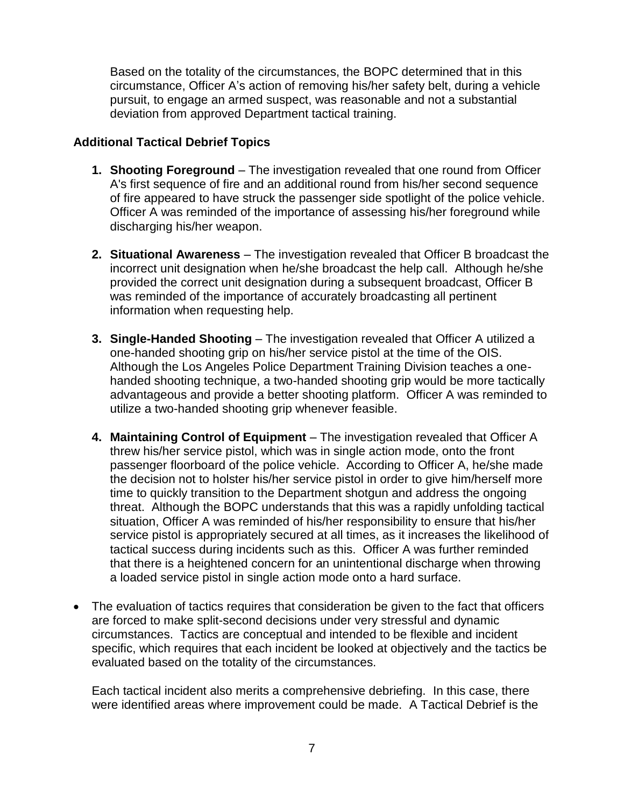Based on the totality of the circumstances, the BOPC determined that in this circumstance, Officer A's action of removing his/her safety belt, during a vehicle pursuit, to engage an armed suspect, was reasonable and not a substantial deviation from approved Department tactical training.

## **Additional Tactical Debrief Topics**

- **1. Shooting Foreground**  The investigation revealed that one round from Officer A's first sequence of fire and an additional round from his/her second sequence of fire appeared to have struck the passenger side spotlight of the police vehicle. Officer A was reminded of the importance of assessing his/her foreground while discharging his/her weapon.
- **2. Situational Awareness**  The investigation revealed that Officer B broadcast the incorrect unit designation when he/she broadcast the help call. Although he/she provided the correct unit designation during a subsequent broadcast, Officer B was reminded of the importance of accurately broadcasting all pertinent information when requesting help.
- **3. Single-Handed Shooting**  The investigation revealed that Officer A utilized a one-handed shooting grip on his/her service pistol at the time of the OIS. Although the Los Angeles Police Department Training Division teaches a onehanded shooting technique, a two-handed shooting grip would be more tactically advantageous and provide a better shooting platform. Officer A was reminded to utilize a two-handed shooting grip whenever feasible.
- **4. Maintaining Control of Equipment**  The investigation revealed that Officer A threw his/her service pistol, which was in single action mode, onto the front passenger floorboard of the police vehicle. According to Officer A, he/she made the decision not to holster his/her service pistol in order to give him/herself more time to quickly transition to the Department shotgun and address the ongoing threat. Although the BOPC understands that this was a rapidly unfolding tactical situation, Officer A was reminded of his/her responsibility to ensure that his/her service pistol is appropriately secured at all times, as it increases the likelihood of tactical success during incidents such as this. Officer A was further reminded that there is a heightened concern for an unintentional discharge when throwing a loaded service pistol in single action mode onto a hard surface.
- The evaluation of tactics requires that consideration be given to the fact that officers are forced to make split-second decisions under very stressful and dynamic circumstances. Tactics are conceptual and intended to be flexible and incident specific, which requires that each incident be looked at objectively and the tactics be evaluated based on the totality of the circumstances.

Each tactical incident also merits a comprehensive debriefing. In this case, there were identified areas where improvement could be made. A Tactical Debrief is the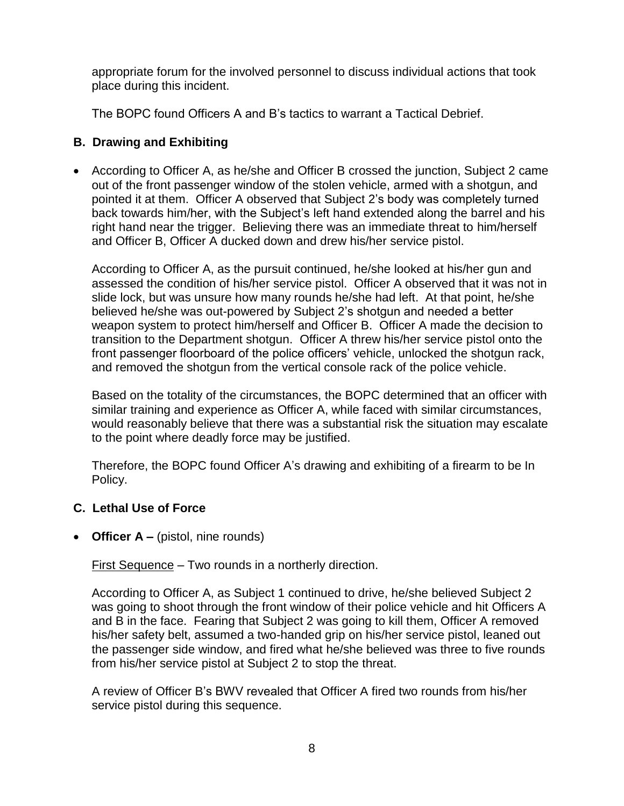appropriate forum for the involved personnel to discuss individual actions that took place during this incident.

The BOPC found Officers A and B's tactics to warrant a Tactical Debrief.

## **B. Drawing and Exhibiting**

• According to Officer A, as he/she and Officer B crossed the junction, Subject 2 came out of the front passenger window of the stolen vehicle, armed with a shotgun, and pointed it at them. Officer A observed that Subject 2's body was completely turned back towards him/her, with the Subject's left hand extended along the barrel and his right hand near the trigger. Believing there was an immediate threat to him/herself and Officer B, Officer A ducked down and drew his/her service pistol.

According to Officer A, as the pursuit continued, he/she looked at his/her gun and assessed the condition of his/her service pistol. Officer A observed that it was not in slide lock, but was unsure how many rounds he/she had left. At that point, he/she believed he/she was out-powered by Subject 2's shotgun and needed a better weapon system to protect him/herself and Officer B. Officer A made the decision to transition to the Department shotgun. Officer A threw his/her service pistol onto the front passenger floorboard of the police officers' vehicle, unlocked the shotgun rack, and removed the shotgun from the vertical console rack of the police vehicle.

Based on the totality of the circumstances, the BOPC determined that an officer with similar training and experience as Officer A, while faced with similar circumstances, would reasonably believe that there was a substantial risk the situation may escalate to the point where deadly force may be justified.

Therefore, the BOPC found Officer A's drawing and exhibiting of a firearm to be In Policy.

# **C. Lethal Use of Force**

• **Officer A** – (pistol, nine rounds)

First Sequence – Two rounds in a northerly direction.

According to Officer A, as Subject 1 continued to drive, he/she believed Subject 2 was going to shoot through the front window of their police vehicle and hit Officers A and B in the face. Fearing that Subject 2 was going to kill them, Officer A removed his/her safety belt, assumed a two-handed grip on his/her service pistol, leaned out the passenger side window, and fired what he/she believed was three to five rounds from his/her service pistol at Subject 2 to stop the threat.

A review of Officer B's BWV revealed that Officer A fired two rounds from his/her service pistol during this sequence.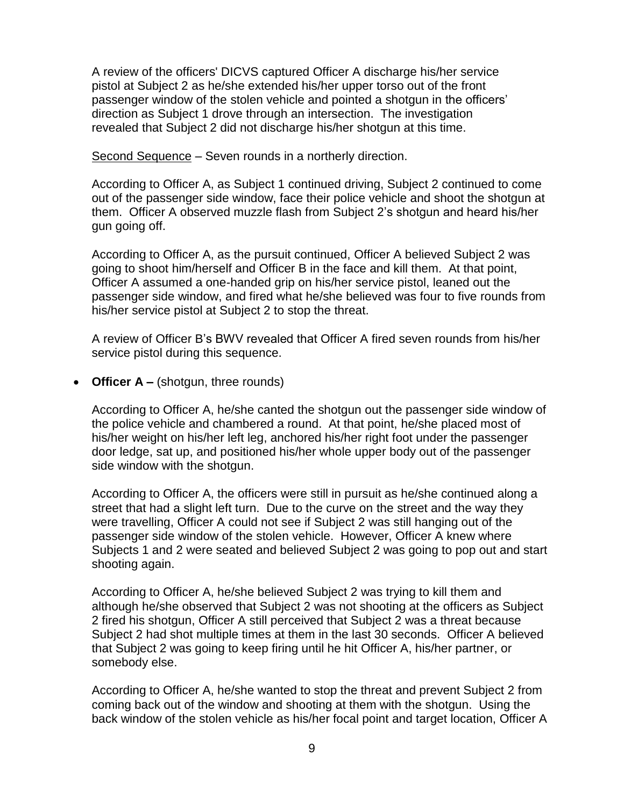A review of the officers' DICVS captured Officer A discharge his/her service pistol at Subject 2 as he/she extended his/her upper torso out of the front passenger window of the stolen vehicle and pointed a shotgun in the officers' direction as Subject 1 drove through an intersection. The investigation revealed that Subject 2 did not discharge his/her shotgun at this time.

Second Sequence – Seven rounds in a northerly direction.

According to Officer A, as Subject 1 continued driving, Subject 2 continued to come out of the passenger side window, face their police vehicle and shoot the shotgun at them. Officer A observed muzzle flash from Subject 2's shotgun and heard his/her gun going off.

According to Officer A, as the pursuit continued, Officer A believed Subject 2 was going to shoot him/herself and Officer B in the face and kill them. At that point, Officer A assumed a one-handed grip on his/her service pistol, leaned out the passenger side window, and fired what he/she believed was four to five rounds from his/her service pistol at Subject 2 to stop the threat.

A review of Officer B's BWV revealed that Officer A fired seven rounds from his/her service pistol during this sequence.

• **Officer A –** (shotgun, three rounds)

According to Officer A, he/she canted the shotgun out the passenger side window of the police vehicle and chambered a round. At that point, he/she placed most of his/her weight on his/her left leg, anchored his/her right foot under the passenger door ledge, sat up, and positioned his/her whole upper body out of the passenger side window with the shotgun.

According to Officer A, the officers were still in pursuit as he/she continued along a street that had a slight left turn. Due to the curve on the street and the way they were travelling, Officer A could not see if Subject 2 was still hanging out of the passenger side window of the stolen vehicle. However, Officer A knew where Subjects 1 and 2 were seated and believed Subject 2 was going to pop out and start shooting again.

According to Officer A, he/she believed Subject 2 was trying to kill them and although he/she observed that Subject 2 was not shooting at the officers as Subject 2 fired his shotgun, Officer A still perceived that Subject 2 was a threat because Subject 2 had shot multiple times at them in the last 30 seconds. Officer A believed that Subject 2 was going to keep firing until he hit Officer A, his/her partner, or somebody else.

According to Officer A, he/she wanted to stop the threat and prevent Subject 2 from coming back out of the window and shooting at them with the shotgun. Using the back window of the stolen vehicle as his/her focal point and target location, Officer A